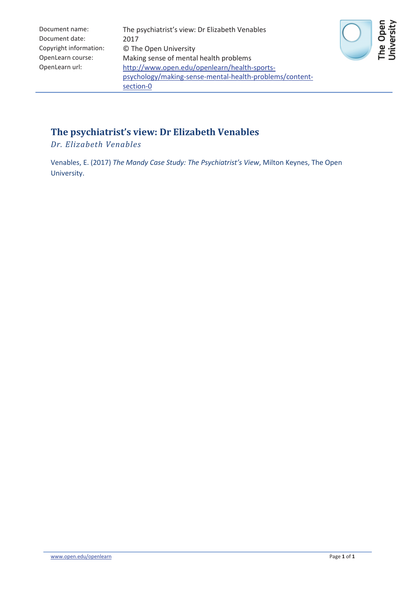| Document name:         | The psychiatrist's view: Dr Elizabeth Venables          |
|------------------------|---------------------------------------------------------|
| Document date:         | 2017                                                    |
| Copyright information: | © The Open University                                   |
| OpenLearn course:      | Making sense of mental health problems                  |
| OpenLearn url:         | http://www.open.edu/openlearn/health-sports-            |
|                        | psychology/making-sense-mental-health-problems/content- |
|                        | section-0                                               |



#### **The psychiatrist's view: Dr Elizabeth Venables**

*Dr. Elizabeth Venables*

Venables, E. (2017) *The Mandy Case Study: The Psychiatrist's View*, Milton Keynes, The Open University.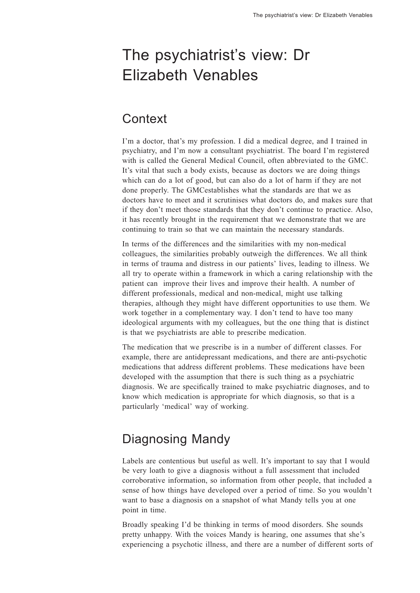# The psychiatrist's view: Dr Elizabeth Venables

#### **Context**

<sup>I</sup>'m a doctor, that's my profession. I did a medical degree, and I trained in psychiatry, and I'm now a consultant psychiatrist. The board I'm registered with is called the General Medical Council, often abbreviated to the GMC. It's vital that such a body exists, because as doctors we are doing things which can do a lot of good, but can also do a lot of harm if they are not done properly. The GMCestablishes what the standards are that we as doctors have to meet and it scrutinises what doctors do, and makes sure that if they don't meet those standards that they don't continue to practice. Also, it has recently brought in the requirement that we demonstrate that we are continuing to train so that we can maintain the necessary standards.

In terms of the differences and the similarities with my non-medical colleagues, the similarities probably outweigh the differences. We all think in terms of trauma and distress in our patients' lives, leading to illness. We all try to operate within a framework in which a caring relationship with the patient can improve their lives and improve their health. A number of different professionals, medical and non-medical, might use talking therapies, although they might have different opportunities to use them. We work together in a complementary way. I don't tend to have too many ideological arguments with my colleagues, but the one thing that is distinct is that we psychiatrists are able to prescribe medication.

The medication that we prescribe is in a number of different classes. For example, there are antidepressant medications, and there are anti-psychotic medications that address different problems. These medications have been developed with the assumption that there is such thing as a psychiatric diagnosis. We are specifically trained to make psychiatric diagnoses, and to know which medication is appropriate for which diagnosis, so that is a particularly 'medical' way of working.

## Diagnosing Mandy

Labels are contentious but useful as well. It's important to say that I would be very loath to give a diagnosis without a full assessment that included corroborative information, so information from other people, that included a sense of how things have developed over a period of time. So you wouldn'<sup>t</sup> want to base a diagnosis on a snapshot of what Mandy tells you at one point in time.

Broadly speaking I'd be thinking in terms of mood disorders. She sounds pretty unhappy. With the voices Mandy is hearing, one assumes that she'<sup>s</sup> experiencing a psychotic illness, and there are a number of different sorts of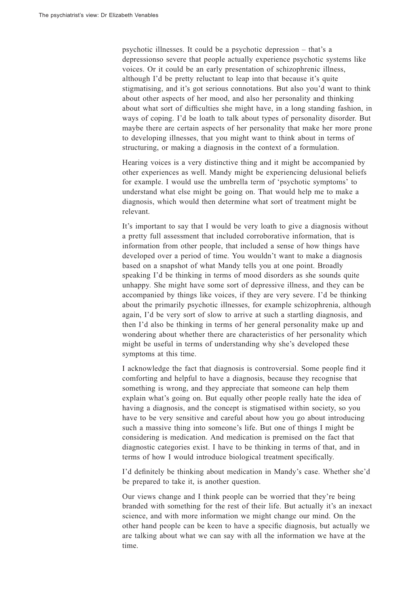psychotic illnesses. It could be a psychotic depression – that's a depressionso severe that people actually experience psychotic systems like voices. Or it could be an early presentation of schizophrenic illness, although I'd be pretty reluctant to leap into that because it's quite stigmatising, and it's got serious connotations. But also you'd want to think about other aspects of her mood, and also her personality and thinking about what sort of difficulties she might have, in a long standing fashion, in ways of coping. I'd be loath to talk about types of personality disorder. But maybe there are certain aspects of her personality that make her more prone to developing illnesses, that you might want to think about in terms of structuring, or making a diagnosis in the context of a formulation.

Hearing voices is a very distinctive thing and it might be accompanied by other experiences as well. Mandy might be experiencing delusional beliefs for example. I would use the umbrella term of 'psychotic symptoms' to understand what else might be going on. That would help me to make a diagnosis, which would then determine what sort of treatment might be relevant.

It's important to say that I would be very loath to give a diagnosis without a pretty full assessment that included corroborative information, that is information from other people, that included a sense of how things have developed over a period of time. You wouldn't want to make a diagnosis based on a snapshot of what Mandy tells you at one point. Broadly speaking I'd be thinking in terms of mood disorders as she sounds quite unhappy. She might have some sort of depressive illness, and they can be accompanied by things like voices, if they are very severe. I'd be thinking about the primarily psychotic illnesses, for example schizophrenia, although again, I'd be very sort of slow to arrive at such a startling diagnosis, and then I'd also be thinking in terms of her general personality make up and wondering about whether there are characteristics of her personality which might be useful in terms of understanding why she's developed these symptoms at this time.

I acknowledge the fact that diagnosis is controversial. Some people find it comforting and helpful to have a diagnosis, because they recognise that something is wrong, and they appreciate that someone can help them explain what's going on. But equally other people really hate the idea of having a diagnosis, and the concept is stigmatised within society, so you have to be very sensitive and careful about how you go about introducing such a massive thing into someone's life. But one of things I might be considering is medication. And medication is premised on the fact that diagnostic categories exist. I have to be thinking in terms of that, and in terms of how I would introduce biological treatment specifically.

<sup>I</sup>'d definitely be thinking about medication in Mandy's case. Whether she'<sup>d</sup> be prepared to take it, is another question.

Our views change and I think people can be worried that they're being branded with something for the rest of their life. But actually it's an inexact science, and with more information we might change our mind. On the other hand people can be keen to have a specific diagnosis, but actually we are talking about what we can say with all the information we have at the time.